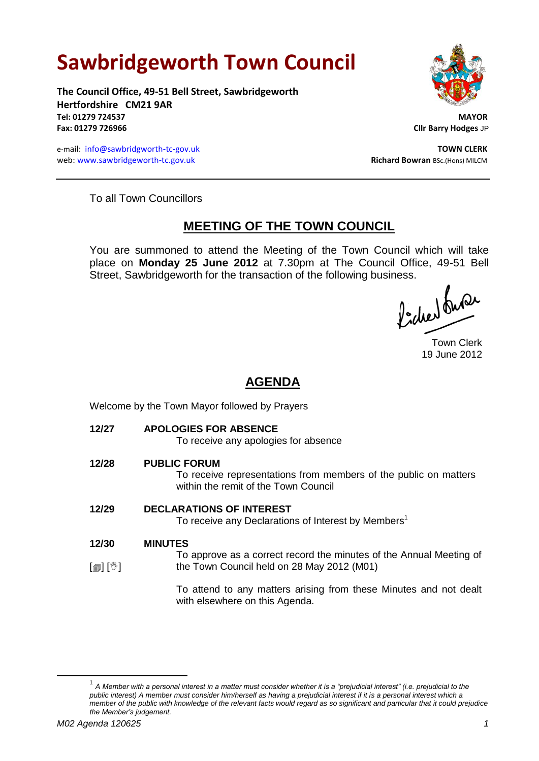# **Sawbridgeworth Town Council**

**The Council Office, 49-51 Bell Street, Sawbridgeworth Hertfordshire CM21 9AR Tel: 01279 724537 MAYOR Fax: 01279 726966 Cllr Barry Hodges** JP

e-mail: [info@sawbridgworth-tc-gov.uk](mailto:info@sawbridgworth-tc-gov.uk) **TOWN CLERK** web: www.sawbridgeworth-tc.gov.uk **Richard Bowran** BSc.(Hons) MILCM



To all Town Councillors

# **MEETING OF THE TOWN COUNCIL**

You are summoned to attend the Meeting of the Town Council which will take place on **Monday 25 June 2012** at 7.30pm at The Council Office, 49-51 Bell Street, Sawbridgeworth for the transaction of the following business.<br>  $\int_1^1 f(x) dx$ 

Town Clerk 19 June 2012

# **AGENDA**

Welcome by the Town Mayor followed by Prayers

**12/27 APOLOGIES FOR ABSENCE**

To receive any apologies for absence

**12/28 PUBLIC FORUM**

To receive representations from members of the public on matters within the remit of the Town Council

# **12/29 DECLARATIONS OF INTEREST**

To receive any Declarations of Interest by Members<sup>1</sup>

- **12/30 MINUTES**
- $\lceil \frac{m}{2} \rceil$   $\lceil \frac{m}{2} \rceil$ To approve as a correct record the minutes of the Annual Meeting of the Town Council held on 28 May 2012 (M01)

To attend to any matters arising from these Minutes and not dealt with elsewhere on this Agenda.

<u>.</u>

<sup>1</sup> *A Member with a personal interest in a matter must consider whether it is a "prejudicial interest" (i.e. prejudicial to the* public interest) A member must consider him/herself as having a prejudicial interest if it is a personal interest which a *member of the public with knowledge of the relevant facts would regard as so significant and particular that it could prejudice the Member's judgement.*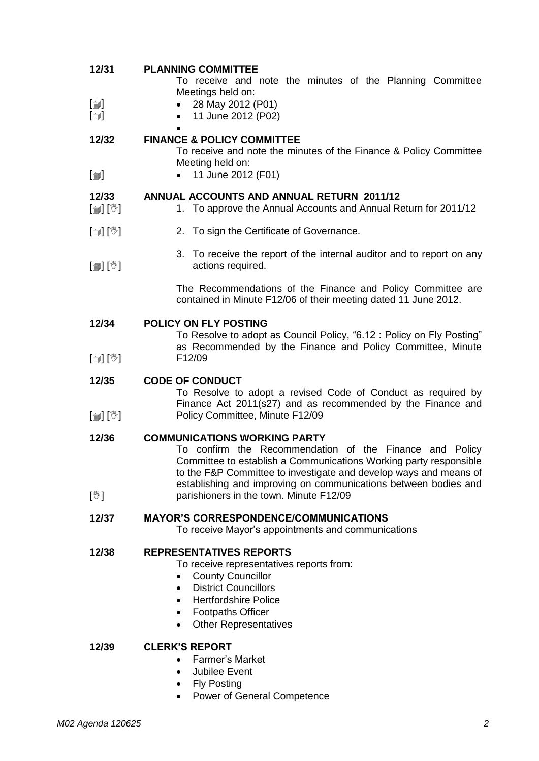| 12/31                                 | <b>PLANNING COMMITTEE</b><br>To receive and note the minutes of the Planning Committee<br>Meetings held on:                                                                                                                                                                                                 |
|---------------------------------------|-------------------------------------------------------------------------------------------------------------------------------------------------------------------------------------------------------------------------------------------------------------------------------------------------------------|
| $\boxdot$<br>$\lbrack \oplus \rbrack$ | 28 May 2012 (P01)<br>11 June 2012 (P02)                                                                                                                                                                                                                                                                     |
| 12/32                                 | <b>FINANCE &amp; POLICY COMMITTEE</b><br>To receive and note the minutes of the Finance & Policy Committee<br>Meeting held on:                                                                                                                                                                              |
| $\lceil \circledcirc \rceil$          | 11 June 2012 (F01)                                                                                                                                                                                                                                                                                          |
| 12/33<br>$\mathbb{D}[\mathbb{D}^1]$   | <b>ANNUAL ACCOUNTS AND ANNUAL RETURN 2011/12</b><br>1. To approve the Annual Accounts and Annual Return for 2011/12                                                                                                                                                                                         |
| [@] [V]                               | 2. To sign the Certificate of Governance.                                                                                                                                                                                                                                                                   |
| $\mathbb{D}[\mathbb{D}^1]$            | 3. To receive the report of the internal auditor and to report on any<br>actions required.                                                                                                                                                                                                                  |
|                                       | The Recommendations of the Finance and Policy Committee are<br>contained in Minute F12/06 of their meeting dated 11 June 2012.                                                                                                                                                                              |
| 12/34                                 | <b>POLICY ON FLY POSTING</b><br>To Resolve to adopt as Council Policy, "6.12 : Policy on Fly Posting"<br>as Recommended by the Finance and Policy Committee, Minute                                                                                                                                         |
| $\mathbb{D}[\mathbb{D}^1]$            | F12/09                                                                                                                                                                                                                                                                                                      |
| 12/35                                 | <b>CODE OF CONDUCT</b><br>To Resolve to adopt a revised Code of Conduct as required by<br>Finance Act 2011(s27) and as recommended by the Finance and                                                                                                                                                       |
| $[\mathbb{S}][\mathbb{S}]$            | Policy Committee, Minute F12/09                                                                                                                                                                                                                                                                             |
| 12/36                                 | <b>COMMUNICATIONS WORKING PARTY</b><br>To confirm the Recommendation of the Finance and Policy<br>Committee to establish a Communications Working party responsible<br>to the F&P Committee to investigate and develop ways and means of<br>establishing and improving on communications between bodies and |
| $[\mathbb{V}]$                        | parishioners in the town. Minute F12/09                                                                                                                                                                                                                                                                     |
| 12/37                                 | <b>MAYOR'S CORRESPONDENCE/COMMUNICATIONS</b><br>To receive Mayor's appointments and communications                                                                                                                                                                                                          |
| 12/38                                 | <b>REPRESENTATIVES REPORTS</b><br>To receive representatives reports from:<br><b>County Councillor</b><br><b>District Councillors</b><br>$\bullet$<br><b>Hertfordshire Police</b><br><b>Footpaths Officer</b><br><b>Other Representatives</b><br>٠                                                          |
| 12/39                                 | <b>CLERK'S REPORT</b><br>Earmar's Market                                                                                                                                                                                                                                                                    |

- Farmer's Market
- Jubilee Event
- Fly Posting
- Power of General Competence